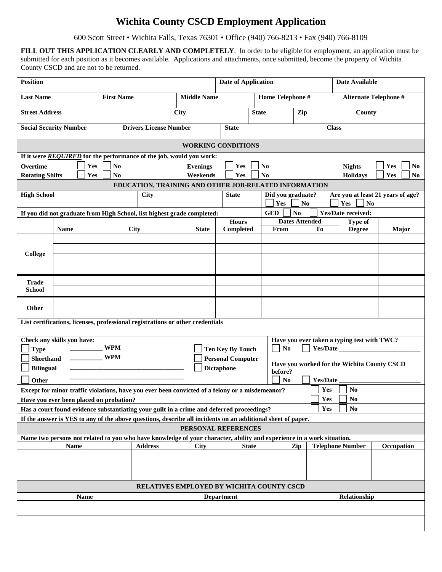## **Wichita County CSCD Employment Application**

600 Scott Street • Wichita Falls, Texas 76301 • Office (940) 766-8213 • Fax (940) 766-8109

**FILL OUT THIS APPLICATION CLEARLY AND COMPLETELY**. In order to be eligible for employment, an application must be submitted for each position as it becomes available. Applications and attachments, once submitted, become the property of Wichita County CSCD and are not to be returned.

| <b>Position</b>               |                                                                                                                       |                   |             |                               |      |                                                       | <b>Date of Application</b> |              |                   |                        |                |                 |              | Date Available                              |     |                |
|-------------------------------|-----------------------------------------------------------------------------------------------------------------------|-------------------|-------------|-------------------------------|------|-------------------------------------------------------|----------------------------|--------------|-------------------|------------------------|----------------|-----------------|--------------|---------------------------------------------|-----|----------------|
| <b>Last Name</b>              |                                                                                                                       | <b>First Name</b> |             |                               |      | <b>Middle Name</b>                                    |                            |              | Home Telephone #  |                        |                |                 |              | Alternate Telephone #                       |     |                |
| <b>Street Address</b>         |                                                                                                                       |                   |             |                               | City |                                                       |                            |              | <b>State</b>      |                        | Zip            |                 |              | County                                      |     |                |
|                               | <b>Social Security Number</b>                                                                                         |                   |             | <b>Drivers License Number</b> |      |                                                       | <b>State</b>               |              |                   |                        |                |                 | <b>Class</b> |                                             |     |                |
|                               |                                                                                                                       |                   |             |                               |      | <b>WORKING CONDITIONS</b>                             |                            |              |                   |                        |                |                 |              |                                             |     |                |
|                               | If it were REQUIRED for the performance of the job, would you work:                                                   |                   |             |                               |      |                                                       |                            |              |                   |                        |                |                 |              |                                             |     |                |
| <b>Overtime</b>               | Yes                                                                                                                   | $\bf No$          |             |                               |      | <b>Evenings</b>                                       | Yes                        |              | N <sub>0</sub>    |                        |                |                 |              | <b>Nights</b>                               | Yes | N <sub>0</sub> |
| <b>Rotating Shifts</b>        | Yes                                                                                                                   | N <sub>0</sub>    |             |                               |      | Weekends                                              | Yes                        |              | N <sub>0</sub>    |                        |                |                 |              | <b>Holidays</b>                             | Yes | N <sub>0</sub> |
|                               |                                                                                                                       |                   |             |                               |      | EDUCATION, TRAINING AND OTHER JOB-RELATED INFORMATION |                            |              |                   |                        |                |                 |              |                                             |     |                |
| <b>High School</b>            |                                                                                                                       |                   |             | <b>City</b>                   |      |                                                       | <b>State</b>               |              | Did you graduate? |                        |                |                 |              | Are you at least 21 years of age?           |     |                |
|                               |                                                                                                                       |                   |             |                               |      |                                                       |                            |              | Yes               |                        | N <sub>0</sub> |                 |              | Yes<br>N <sub>o</sub>                       |     |                |
|                               | If you did not graduate from High School, list highest grade completed:                                               |                   |             |                               |      |                                                       |                            |              | <b>GED</b>        | N <sub>o</sub>         |                |                 |              | <b>Yes/Date received:</b>                   |     |                |
|                               |                                                                                                                       |                   |             |                               |      |                                                       | <b>Hours</b>               |              |                   | <b>Dates Attended</b>  |                |                 |              | <b>Type of</b>                              |     |                |
|                               | <b>Name</b>                                                                                                           |                   | <b>City</b> |                               |      | <b>State</b>                                          | Completed                  |              | From              |                        |                | To              |              | <b>Degree</b>                               |     | Major          |
|                               |                                                                                                                       |                   |             |                               |      |                                                       |                            |              |                   |                        |                |                 |              |                                             |     |                |
|                               |                                                                                                                       |                   |             |                               |      |                                                       |                            |              |                   |                        |                |                 |              |                                             |     |                |
| College                       |                                                                                                                       |                   |             |                               |      |                                                       |                            |              |                   |                        |                |                 |              |                                             |     |                |
|                               |                                                                                                                       |                   |             |                               |      |                                                       |                            |              |                   |                        |                |                 |              |                                             |     |                |
|                               |                                                                                                                       |                   |             |                               |      |                                                       |                            |              |                   |                        |                |                 |              |                                             |     |                |
| <b>Trade</b><br><b>School</b> |                                                                                                                       |                   |             |                               |      |                                                       |                            |              |                   |                        |                |                 |              |                                             |     |                |
|                               |                                                                                                                       |                   |             |                               |      |                                                       |                            |              |                   |                        |                |                 |              |                                             |     |                |
| Other                         |                                                                                                                       |                   |             |                               |      |                                                       |                            |              |                   |                        |                |                 |              |                                             |     |                |
|                               | List certifications, licenses, professional registrations or other credentials                                        |                   |             |                               |      |                                                       |                            |              |                   |                        |                |                 |              |                                             |     |                |
|                               | Check any skills you have:                                                                                            |                   |             |                               |      |                                                       |                            |              |                   |                        |                |                 |              | Have you ever taken a typing test with TWC? |     |                |
| <b>Type</b>                   |                                                                                                                       | <b>WPM</b>        |             |                               |      |                                                       | Ten Key By Touch           |              | N <sub>0</sub>    |                        |                |                 |              | Yes/Date                                    |     |                |
| Shorthand                     |                                                                                                                       | <b>WPM</b>        |             |                               |      |                                                       | <b>Personal Computer</b>   |              |                   |                        |                |                 |              |                                             |     |                |
| <b>Bilingual</b>              |                                                                                                                       |                   |             |                               |      |                                                       | <b>Dictaphone</b>          |              |                   |                        |                |                 |              | Have you worked for the Wichita County CSCD |     |                |
|                               |                                                                                                                       |                   |             |                               |      |                                                       |                            |              | before?           |                        |                |                 |              |                                             |     |                |
| Other                         |                                                                                                                       |                   |             |                               |      |                                                       |                            |              |                   | $\mathbf{N}\mathbf{o}$ |                | <b>Yes/Date</b> |              |                                             |     |                |
|                               | Except for minor traffic violations, have you ever been convicted of a felony or a misdemeanor?                       |                   |             |                               |      |                                                       |                            |              |                   |                        |                | Yes             |              | N <sub>0</sub>                              |     |                |
|                               | Have you ever been placed on probation?                                                                               |                   |             |                               |      |                                                       |                            |              |                   |                        |                | Yes             |              | N <sub>0</sub>                              |     |                |
|                               | Has a court found evidence substantiating your guilt in a crime and deferred proceedings?                             |                   |             |                               |      |                                                       |                            |              |                   |                        |                | Yes             |              | N <sub>0</sub>                              |     |                |
|                               | If the answer is YES to any of the above questions, describe all incidents on an additional sheet of paper.           |                   |             |                               |      |                                                       |                            |              |                   |                        |                |                 |              |                                             |     |                |
|                               |                                                                                                                       |                   |             |                               |      | PERSONAL REFERENCES                                   |                            |              |                   |                        |                |                 |              |                                             |     |                |
|                               | Name two persons not related to you who have knowledge of your character, ability and experience in a work situation. |                   |             |                               |      |                                                       |                            |              |                   |                        |                |                 |              |                                             |     |                |
|                               | <b>Name</b>                                                                                                           |                   |             | <b>Address</b>                |      | <b>City</b>                                           |                            | <b>State</b> |                   | Zip                    |                |                 |              | <b>Telephone Number</b>                     |     | Occupation     |
|                               |                                                                                                                       |                   |             |                               |      |                                                       |                            |              |                   |                        |                |                 |              |                                             |     |                |
|                               |                                                                                                                       |                   |             |                               |      |                                                       |                            |              |                   |                        |                |                 |              |                                             |     |                |
|                               |                                                                                                                       |                   |             |                               |      | <b>RELATIVES EMPLOYED BY WICHITA COUNTY CSCD</b>      |                            |              |                   |                        |                |                 |              |                                             |     |                |
|                               | Name                                                                                                                  |                   |             |                               |      |                                                       | <b>Department</b>          |              |                   |                        |                |                 |              | Relationship                                |     |                |
|                               |                                                                                                                       |                   |             |                               |      |                                                       |                            |              |                   |                        |                |                 |              |                                             |     |                |
|                               |                                                                                                                       |                   |             |                               |      |                                                       |                            |              |                   |                        |                |                 |              |                                             |     |                |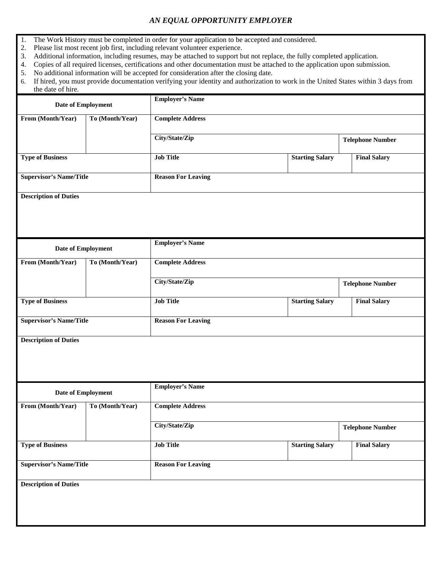## *AN EQUAL OPPORTUNITY EMPLOYER*

- 1. The Work History must be completed in order for your application to be accepted and considered.
- 2. Please list most recent job first, including relevant volunteer experience.
- 3. Additional information, including resumes, may be attached to support but not replace, the fully completed application.
- 4. Copies of all required licenses, certifications and other documentation must be attached to the application upon submission.
- 5. No additional information will be accepted for consideration after the closing date.
- 6. If hired, you must provide documentation verifying your identity and authorization to work in the United States within 3 days from the date of hire.

| Date of Employment             |                 | <b>Employer's Name</b>    |                        |                         |
|--------------------------------|-----------------|---------------------------|------------------------|-------------------------|
| From (Month/Year)              | To (Month/Year) | <b>Complete Address</b>   |                        |                         |
|                                |                 | City/State/Zip            |                        | <b>Telephone Number</b> |
| <b>Type of Business</b>        |                 | <b>Job Title</b>          | <b>Starting Salary</b> | <b>Final Salary</b>     |
| <b>Supervisor's Name/Title</b> |                 | <b>Reason For Leaving</b> |                        |                         |
| <b>Description of Duties</b>   |                 |                           |                        |                         |
|                                |                 |                           |                        |                         |
| Date of Employment             |                 | <b>Employer's Name</b>    |                        |                         |
| From (Month/Year)              | To (Month/Year) | <b>Complete Address</b>   |                        |                         |
|                                |                 | City/State/Zip            |                        | <b>Telephone Number</b> |
| <b>Type of Business</b>        |                 | <b>Job Title</b>          | <b>Starting Salary</b> | <b>Final Salary</b>     |
| <b>Supervisor's Name/Title</b> |                 | <b>Reason For Leaving</b> |                        |                         |
| <b>Description of Duties</b>   |                 |                           |                        |                         |
|                                |                 |                           |                        |                         |
| Date of Employment             |                 | <b>Employer's Name</b>    |                        |                         |
| From (Month/Year)              | To (Month/Year) | <b>Complete Address</b>   |                        |                         |
|                                |                 | City/State/Zip            |                        | <b>Telephone Number</b> |
| <b>Type of Business</b>        |                 | <b>Job Title</b>          | <b>Starting Salary</b> | <b>Final Salary</b>     |
| <b>Supervisor's Name/Title</b> |                 | <b>Reason For Leaving</b> |                        |                         |
| <b>Description of Duties</b>   |                 |                           |                        |                         |
|                                |                 |                           |                        |                         |
|                                |                 |                           |                        |                         |
|                                |                 |                           |                        |                         |